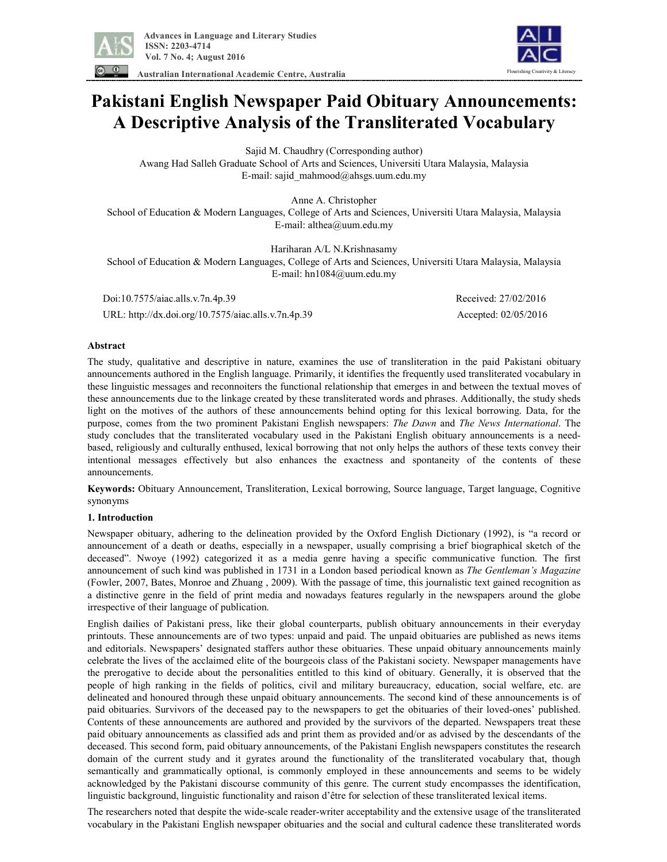

**Australian International Academic Centre, Australia** 



# **Pakistani English Newspaper Paid Obituary Announcements: A Descriptive Analysis of the Transliterated Vocabulary**

Sajid M. Chaudhry (Corresponding author)

Awang Had Salleh Graduate School of Arts and Sciences, Universiti Utara Malaysia, Malaysia E-mail: sajid\_mahmood@ahsgs.uum.edu.my

Anne A. Christopher School of Education & Modern Languages, College of Arts and Sciences, Universiti Utara Malaysia, Malaysia E-mail: althea@uum.edu.my

Hariharan A/L N.Krishnasamy School of Education & Modern Languages, College of Arts and Sciences, Universiti Utara Malaysia, Malaysia E-mail: hn1084@uum.edu.my

 Doi:10.7575/aiac.alls.v.7n.4p.39 Received: 27/02/2016 URL: http://dx.doi.org/10.7575/aiac.alls.v.7n.4p.39 Accepted: 02/05/2016

## **Abstract**

The study, qualitative and descriptive in nature, examines the use of transliteration in the paid Pakistani obituary announcements authored in the English language. Primarily, it identifies the frequently used transliterated vocabulary in these linguistic messages and reconnoiters the functional relationship that emerges in and between the textual moves of these announcements due to the linkage created by these transliterated words and phrases. Additionally, the study sheds light on the motives of the authors of these announcements behind opting for this lexical borrowing. Data, for the purpose, comes from the two prominent Pakistani English newspapers: *The Dawn* and *The News International*. The study concludes that the transliterated vocabulary used in the Pakistani English obituary announcements is a needbased, religiously and culturally enthused, lexical borrowing that not only helps the authors of these texts convey their intentional messages effectively but also enhances the exactness and spontaneity of the contents of these announcements.

**Keywords:** Obituary Announcement, Transliteration, Lexical borrowing, Source language, Target language, Cognitive synonyms

### **1. Introduction**

Newspaper obituary, adhering to the delineation provided by the Oxford English Dictionary (1992), is "a record or announcement of a death or deaths, especially in a newspaper, usually comprising a brief biographical sketch of the deceased". Nwoye (1992) categorized it as a media genre having a specific communicative function. The first announcement of such kind was published in 1731 in a London based periodical known as *The Gentleman's Magazine*  (Fowler, 2007, Bates, Monroe and Zhuang , 2009). With the passage of time, this journalistic text gained recognition as a distinctive genre in the field of print media and nowadays features regularly in the newspapers around the globe irrespective of their language of publication.

English dailies of Pakistani press, like their global counterparts, publish obituary announcements in their everyday printouts. These announcements are of two types: unpaid and paid. The unpaid obituaries are published as news items and editorials. Newspapers' designated staffers author these obituaries. These unpaid obituary announcements mainly celebrate the lives of the acclaimed elite of the bourgeois class of the Pakistani society. Newspaper managements have the prerogative to decide about the personalities entitled to this kind of obituary. Generally, it is observed that the people of high ranking in the fields of politics, civil and military bureaucracy, education, social welfare, etc. are delineated and honoured through these unpaid obituary announcements. The second kind of these announcements is of paid obituaries. Survivors of the deceased pay to the newspapers to get the obituaries of their loved-ones' published. Contents of these announcements are authored and provided by the survivors of the departed. Newspapers treat these paid obituary announcements as classified ads and print them as provided and/or as advised by the descendants of the deceased. This second form, paid obituary announcements, of the Pakistani English newspapers constitutes the research domain of the current study and it gyrates around the functionality of the transliterated vocabulary that, though semantically and grammatically optional, is commonly employed in these announcements and seems to be widely acknowledged by the Pakistani discourse community of this genre. The current study encompasses the identification, linguistic background, linguistic functionality and raison d'être for selection of these transliterated lexical items.

The researchers noted that despite the wide-scale reader-writer acceptability and the extensive usage of the transliterated vocabulary in the Pakistani English newspaper obituaries and the social and cultural cadence these transliterated words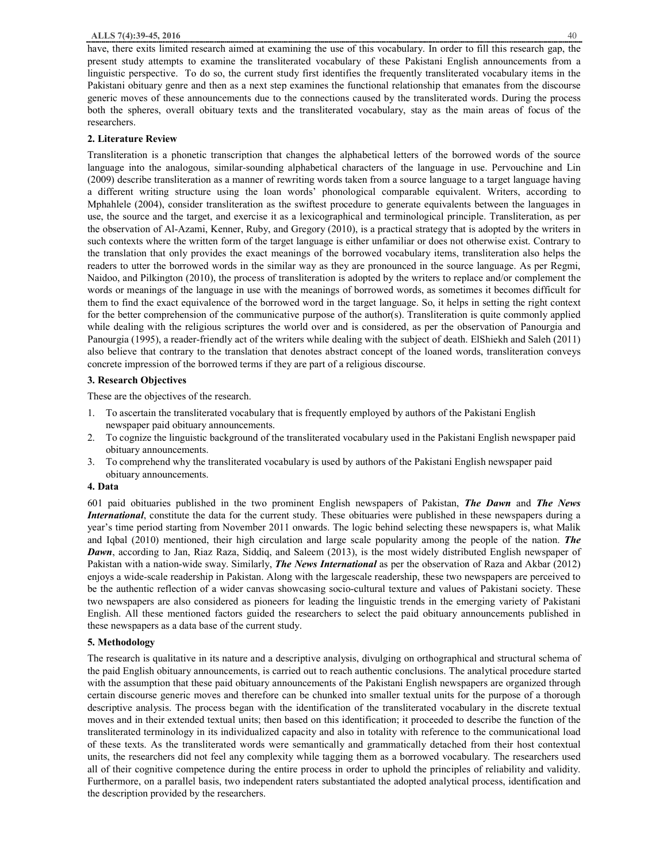have, there exits limited research aimed at examining the use of this vocabulary. In order to fill this research gap, the present study attempts to examine the transliterated vocabulary of these Pakistani English announcements from a linguistic perspective. To do so, the current study first identifies the frequently transliterated vocabulary items in the Pakistani obituary genre and then as a next step examines the functional relationship that emanates from the discourse generic moves of these announcements due to the connections caused by the transliterated words. During the process both the spheres, overall obituary texts and the transliterated vocabulary, stay as the main areas of focus of the researchers.

#### **2. Literature Review**

Transliteration is a phonetic transcription that changes the alphabetical letters of the borrowed words of the source language into the analogous, similar-sounding alphabetical characters of the language in use. Pervouchine and Lin (2009) describe transliteration as a manner of rewriting words taken from a source language to a target language having a different writing structure using the loan words' phonological comparable equivalent. Writers, according to Mphahlele (2004), consider transliteration as the swiftest procedure to generate equivalents between the languages in use, the source and the target, and exercise it as a lexicographical and terminological principle. Transliteration, as per the observation of Al-Azami, Kenner, Ruby, and Gregory (2010), is a practical strategy that is adopted by the writers in such contexts where the written form of the target language is either unfamiliar or does not otherwise exist. Contrary to the translation that only provides the exact meanings of the borrowed vocabulary items, transliteration also helps the readers to utter the borrowed words in the similar way as they are pronounced in the source language. As per Regmi, Naidoo, and Pilkington (2010), the process of transliteration is adopted by the writers to replace and/or complement the words or meanings of the language in use with the meanings of borrowed words, as sometimes it becomes difficult for them to find the exact equivalence of the borrowed word in the target language. So, it helps in setting the right context for the better comprehension of the communicative purpose of the author(s). Transliteration is quite commonly applied while dealing with the religious scriptures the world over and is considered, as per the observation of Panourgia and Panourgia (1995), a reader-friendly act of the writers while dealing with the subject of death. ElShiekh and Saleh (2011) also believe that contrary to the translation that denotes abstract concept of the loaned words, transliteration conveys concrete impression of the borrowed terms if they are part of a religious discourse.

## **3. Research Objectives**

These are the objectives of the research.

- 1. To ascertain the transliterated vocabulary that is frequently employed by authors of the Pakistani English newspaper paid obituary announcements.
- 2. To cognize the linguistic background of the transliterated vocabulary used in the Pakistani English newspaper paid obituary announcements.
- 3. To comprehend why the transliterated vocabulary is used by authors of the Pakistani English newspaper paid obituary announcements.

#### **4. Data**

601 paid obituaries published in the two prominent English newspapers of Pakistan, *The Dawn* and *The News International*, constitute the data for the current study. These obituaries were published in these newspapers during a year's time period starting from November 2011 onwards. The logic behind selecting these newspapers is, what Malik and Iqbal (2010) mentioned, their high circulation and large scale popularity among the people of the nation. *The Dawn*, according to Jan, Riaz Raza, Siddiq, and Saleem (2013), is the most widely distributed English newspaper of Pakistan with a nation-wide sway. Similarly, *The News International* as per the observation of Raza and Akbar (2012) enjoys a wide-scale readership in Pakistan. Along with the largescale readership, these two newspapers are perceived to be the authentic reflection of a wider canvas showcasing socio-cultural texture and values of Pakistani society. These two newspapers are also considered as pioneers for leading the linguistic trends in the emerging variety of Pakistani English. All these mentioned factors guided the researchers to select the paid obituary announcements published in these newspapers as a data base of the current study.

#### **5. Methodology**

The research is qualitative in its nature and a descriptive analysis, divulging on orthographical and structural schema of the paid English obituary announcements, is carried out to reach authentic conclusions. The analytical procedure started with the assumption that these paid obituary announcements of the Pakistani English newspapers are organized through certain discourse generic moves and therefore can be chunked into smaller textual units for the purpose of a thorough descriptive analysis. The process began with the identification of the transliterated vocabulary in the discrete textual moves and in their extended textual units; then based on this identification; it proceeded to describe the function of the transliterated terminology in its individualized capacity and also in totality with reference to the communicational load of these texts. As the transliterated words were semantically and grammatically detached from their host contextual units, the researchers did not feel any complexity while tagging them as a borrowed vocabulary. The researchers used all of their cognitive competence during the entire process in order to uphold the principles of reliability and validity. Furthermore, on a parallel basis, two independent raters substantiated the adopted analytical process, identification and the description provided by the researchers.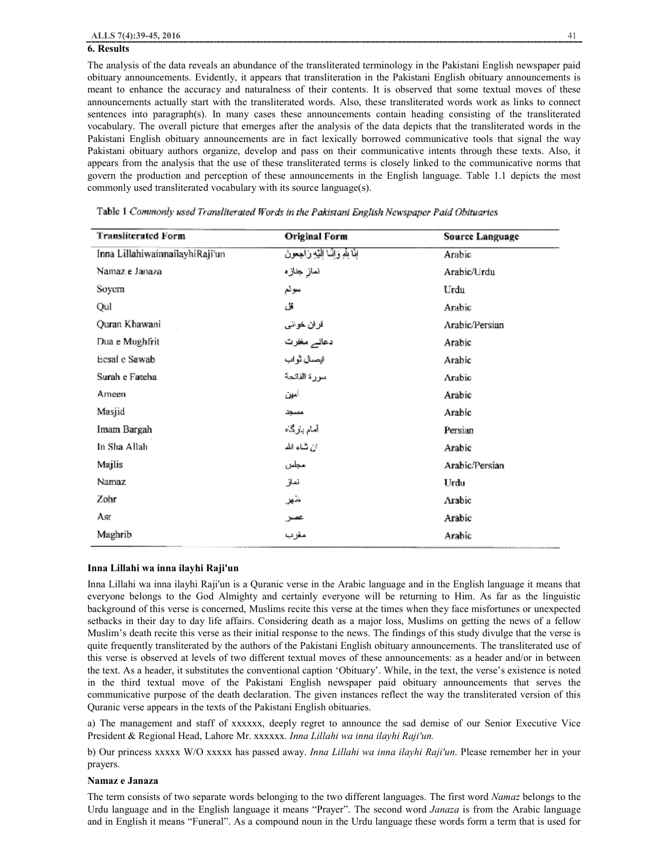#### **6. Results**

The analysis of the data reveals an abundance of the transliterated terminology in the Pakistani English newspaper paid obituary announcements. Evidently, it appears that transliteration in the Pakistani English obituary announcements is meant to enhance the accuracy and naturalness of their contents. It is observed that some textual moves of these announcements actually start with the transliterated words. Also, these transliterated words work as links to connect sentences into paragraph(s). In many cases these announcements contain heading consisting of the transliterated vocabulary. The overall picture that emerges after the analysis of the data depicts that the transliterated words in the Pakistani English obituary announcements are in fact lexically borrowed communicative tools that signal the way Pakistani obituary authors organize, develop and pass on their communicative intents through these texts. Also, it appears from the analysis that the use of these transliterated terms is closely linked to the communicative norms that govern the production and perception of these announcements in the English language. Table 1.1 depicts the most commonly used transliterated vocabulary with its source language(s).

| <b>Transliterated Form</b>      | <b>Original Form</b>                         | <b>Source Language</b> |
|---------------------------------|----------------------------------------------|------------------------|
| Inna LillahiwainnailayhiRaji'un | إِذَا لِلَّهِ وَإِنَّمَا إِلَيْهِ رَاجِعُونَ | Arabic                 |
| Namaz e Janaza                  | نماز جنازه                                   | Arabic/Urdu            |
| Soyem                           | سونم                                         | Urdu                   |
| Qul                             | قل                                           | Arabic                 |
| Quran Khawani                   | قران خواني                                   | Arabic/Persian         |
| Dua e Mughfrit                  | دعانے مغفرت                                  | Arabic                 |
| Ecsal e Sawab                   | ايصال ثواب                                   | Arabic                 |
| Surah e Fateha                  | مىورة الفائحة                                | Arabic                 |
| Ameen                           | أمهين                                        | Arabic                 |
| Masjid                          | مسجد                                         | Arabic                 |
| Imam Bargah                     | آمام بارگاه                                  | Persian                |
| In Sha Allah                    | ان شاء الله                                  | Arabic                 |
| Majlis                          | مجلس                                         | Arabic/Persian         |
| Namaz                           | نماز                                         | Urdu                   |
| Zohr                            | شعر                                          | Arabic                 |
| Asr                             | عصر                                          | Arabic                 |
| Maghrib                         | مغرب                                         | Arabic                 |

Table 1 Commonly used Transliterated Words in the Pakistani English Newspaper Paid Obituaries

#### **Inna Lillahi wa inna ilayhi Raji'un**

Inna Lillahi wa inna ilayhi Raji'un is a Quranic verse in the Arabic language and in the English language it means that everyone belongs to the God Almighty and certainly everyone will be returning to Him. As far as the linguistic background of this verse is concerned, Muslims recite this verse at the times when they face misfortunes or unexpected setbacks in their day to day life affairs. Considering death as a major loss, Muslims on getting the news of a fellow Muslim's death recite this verse as their initial response to the news. The findings of this study divulge that the verse is quite frequently transliterated by the authors of the Pakistani English obituary announcements. The transliterated use of this verse is observed at levels of two different textual moves of these announcements: as a header and/or in between the text. As a header, it substitutes the conventional caption 'Obituary'. While, in the text, the verse's existence is noted in the third textual move of the Pakistani English newspaper paid obituary announcements that serves the communicative purpose of the death declaration. The given instances reflect the way the transliterated version of this Quranic verse appears in the texts of the Pakistani English obituaries.

a) The management and staff of xxxxxx, deeply regret to announce the sad demise of our Senior Executive Vice President & Regional Head, Lahore Mr. xxxxxx. *Inna Lillahi wa inna ilayhi Raji'un.* 

b) Our princess xxxxx W/O xxxxx has passed away. *Inna Lillahi wa inna ilayhi Raji'un*. Please remember her in your prayers.

#### **Namaz e Janaza**

The term consists of two separate words belonging to the two different languages. The first word *Namaz* belongs to the Urdu language and in the English language it means "Prayer". The second word *Janaza* is from the Arabic language and in English it means "Funeral". As a compound noun in the Urdu language these words form a term that is used for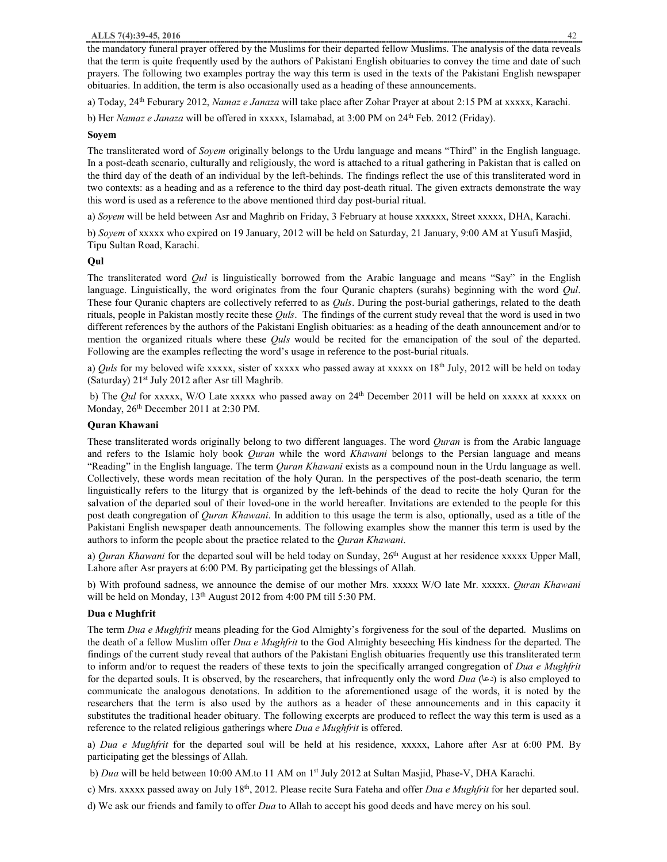the mandatory funeral prayer offered by the Muslims for their departed fellow Muslims. The analysis of the data reveals that the term is quite frequently used by the authors of Pakistani English obituaries to convey the time and date of such prayers. The following two examples portray the way this term is used in the texts of the Pakistani English newspaper obituaries. In addition, the term is also occasionally used as a heading of these announcements.

a) Today, 24th Feburary 2012, *Namaz e Janaza* will take place after Zohar Prayer at about 2:15 PM at xxxxx, Karachi.

b) Her *Namaz e Janaza* will be offered in xxxxx, Islamabad, at 3:00 PM on 24th Feb. 2012 (Friday).

#### **Soyem**

The transliterated word of *Soyem* originally belongs to the Urdu language and means "Third" in the English language. In a post-death scenario, culturally and religiously, the word is attached to a ritual gathering in Pakistan that is called on the third day of the death of an individual by the left-behinds. The findings reflect the use of this transliterated word in two contexts: as a heading and as a reference to the third day post-death ritual. The given extracts demonstrate the way this word is used as a reference to the above mentioned third day post-burial ritual.

a) *Soyem* will be held between Asr and Maghrib on Friday, 3 February at house xxxxxx, Street xxxxx, DHA, Karachi.

b) *Soyem* of xxxxx who expired on 19 January, 2012 will be held on Saturday, 21 January, 9:00 AM at Yusufi Masjid, Tipu Sultan Road, Karachi.

#### **Qul**

The transliterated word *Qul* is linguistically borrowed from the Arabic language and means "Say" in the English language. Linguistically, the word originates from the four Quranic chapters (surahs) beginning with the word *Qul*. These four Quranic chapters are collectively referred to as *Quls*. During the post-burial gatherings, related to the death rituals, people in Pakistan mostly recite these *Quls*. The findings of the current study reveal that the word is used in two different references by the authors of the Pakistani English obituaries: as a heading of the death announcement and/or to mention the organized rituals where these *Quls* would be recited for the emancipation of the soul of the departed. Following are the examples reflecting the word's usage in reference to the post-burial rituals.

a) *Quls* for my beloved wife xxxxx, sister of xxxxx who passed away at xxxxx on 18<sup>th</sup> July, 2012 will be held on today (Saturday) 21st July 2012 after Asr till Maghrib.

b) The *Qul* for xxxxx, W/O Late xxxxx who passed away on 24th December 2011 will be held on xxxxx at xxxxx on Monday,  $26<sup>th</sup>$  December 2011 at 2:30 PM.

## **Quran Khawani**

These transliterated words originally belong to two different languages. The word *Quran* is from the Arabic language and refers to the Islamic holy book *Quran* while the word *Khawani* belongs to the Persian language and means "Reading" in the English language. The term *Quran Khawani* exists as a compound noun in the Urdu language as well. Collectively, these words mean recitation of the holy Quran. In the perspectives of the post-death scenario, the term linguistically refers to the liturgy that is organized by the left-behinds of the dead to recite the holy Quran for the salvation of the departed soul of their loved-one in the world hereafter. Invitations are extended to the people for this post death congregation of *Quran Khawani*. In addition to this usage the term is also, optionally, used as a title of the Pakistani English newspaper death announcements. The following examples show the manner this term is used by the authors to inform the people about the practice related to the *Quran Khawani*.

a) *Quran Khawani* for the departed soul will be held today on Sunday, 26<sup>th</sup> August at her residence xxxxx Upper Mall, Lahore after Asr prayers at 6:00 PM. By participating get the blessings of Allah.

b) With profound sadness, we announce the demise of our mother Mrs. xxxxx W/O late Mr. xxxxx. *Quran Khawani* will be held on Monday, 13th August 2012 from 4:00 PM till 5:30 PM.

#### **Dua e Mughfrit**

The term *Dua e Mughfrit* means pleading for the God Almighty's forgiveness for the soul of the departed. Muslims on the death of a fellow Muslim offer *Dua e Mughfrit* to the God Almighty beseeching His kindness for the departed. The findings of the current study reveal that authors of the Pakistani English obituaries frequently use this transliterated term to inform and/or to request the readers of these texts to join the specifically arranged congregation of *Dua e Mughfrit* for the departed souls. It is observed, by the researchers, that infrequently only the word *Dua* ( $\epsilon$ a) is also employed to communicate the analogous denotations. In addition to the aforementioned usage of the words, it is noted by the researchers that the term is also used by the authors as a header of these announcements and in this capacity it substitutes the traditional header obituary. The following excerpts are produced to reflect the way this term is used as a reference to the related religious gatherings where *Dua e Mughfrit* is offered.

a) *Dua e Mughfrit* for the departed soul will be held at his residence, xxxxx, Lahore after Asr at 6:00 PM. By participating get the blessings of Allah.

b) *Dua* will be held between 10:00 AM.to 11 AM on 1st July 2012 at Sultan Masjid, Phase-V, DHA Karachi.

c) Mrs. xxxxx passed away on July 18<sup>th</sup>, 2012. Please recite Sura Fateha and offer *Dua e Mughfrit* for her departed soul.

d) We ask our friends and family to offer *Dua* to Allah to accept his good deeds and have mercy on his soul.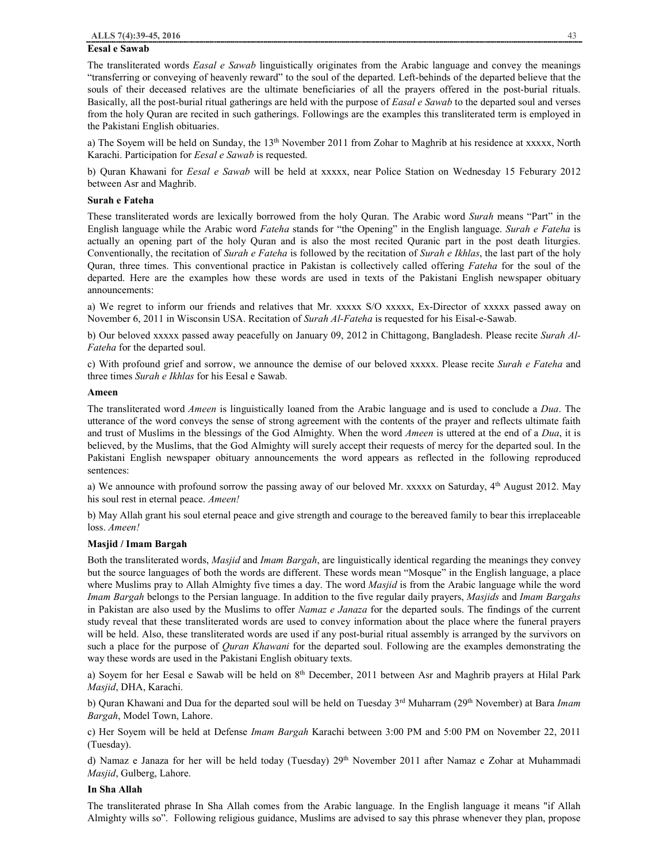## **Eesal e Sawab**

The transliterated words *Easal e Sawab* linguistically originates from the Arabic language and convey the meanings "transferring or conveying of heavenly reward" to the soul of the departed. Left-behinds of the departed believe that the souls of their deceased relatives are the ultimate beneficiaries of all the prayers offered in the post-burial rituals. Basically, all the post-burial ritual gatherings are held with the purpose of *Easal e Sawab* to the departed soul and verses from the holy Quran are recited in such gatherings. Followings are the examples this transliterated term is employed in the Pakistani English obituaries.

a) The Soyem will be held on Sunday, the 13<sup>th</sup> November 2011 from Zohar to Maghrib at his residence at xxxxx, North Karachi. Participation for *Eesal e Sawab* is requested.

b) Quran Khawani for *Eesal e Sawab* will be held at xxxxx, near Police Station on Wednesday 15 Feburary 2012 between Asr and Maghrib.

#### **Surah e Fateha**

These transliterated words are lexically borrowed from the holy Quran. The Arabic word *Surah* means "Part" in the English language while the Arabic word *Fateha* stands for "the Opening" in the English language. *Surah e Fateha* is actually an opening part of the holy Quran and is also the most recited Quranic part in the post death liturgies. Conventionally, the recitation of *Surah e Fateha* is followed by the recitation of *Surah e Ikhlas*, the last part of the holy Quran, three times. This conventional practice in Pakistan is collectively called offering *Fateha* for the soul of the departed. Here are the examples how these words are used in texts of the Pakistani English newspaper obituary announcements:

a) We regret to inform our friends and relatives that Mr. xxxxx S/O xxxxx, Ex-Director of xxxxx passed away on November 6, 2011 in Wisconsin USA. Recitation of *Surah Al-Fateha* is requested for his Eisal-e-Sawab.

b) Our beloved xxxxx passed away peacefully on January 09, 2012 in Chittagong, Bangladesh. Please recite *Surah Al-Fateha* for the departed soul.

c) With profound grief and sorrow, we announce the demise of our beloved xxxxx. Please recite *Surah e Fateha* and three times *Surah e Ikhlas* for his Eesal e Sawab.

## **Ameen**

The transliterated word *Ameen* is linguistically loaned from the Arabic language and is used to conclude a *Dua*. The utterance of the word conveys the sense of strong agreement with the contents of the prayer and reflects ultimate faith and trust of Muslims in the blessings of the God Almighty. When the word *Ameen* is uttered at the end of a *Dua*, it is believed, by the Muslims, that the God Almighty will surely accept their requests of mercy for the departed soul. In the Pakistani English newspaper obituary announcements the word appears as reflected in the following reproduced sentences:

a) We announce with profound sorrow the passing away of our beloved Mr. xxxxx on Saturday, 4<sup>th</sup> August 2012. May his soul rest in eternal peace. *Ameen!*

b) May Allah grant his soul eternal peace and give strength and courage to the bereaved family to bear this irreplaceable loss. *Ameen!*

## **Masjid / Imam Bargah**

Both the transliterated words, *Masjid* and *Imam Bargah*, are linguistically identical regarding the meanings they convey but the source languages of both the words are different. These words mean "Mosque" in the English language, a place where Muslims pray to Allah Almighty five times a day. The word *Masjid* is from the Arabic language while the word *Imam Bargah* belongs to the Persian language. In addition to the five regular daily prayers, *Masjids* and *Imam Bargahs* in Pakistan are also used by the Muslims to offer *Namaz e Janaza* for the departed souls. The findings of the current study reveal that these transliterated words are used to convey information about the place where the funeral prayers will be held. Also, these transliterated words are used if any post-burial ritual assembly is arranged by the survivors on such a place for the purpose of *Quran Khawani* for the departed soul. Following are the examples demonstrating the way these words are used in the Pakistani English obituary texts.

a) Soyem for her Eesal e Sawab will be held on 8<sup>th</sup> December, 2011 between Asr and Maghrib prayers at Hilal Park *Masjid*, DHA, Karachi.

b) Quran Khawani and Dua for the departed soul will be held on Tuesday 3rd Muharram (29th November) at Bara *Imam Bargah*, Model Town, Lahore.

c) Her Soyem will be held at Defense *Imam Bargah* Karachi between 3:00 PM and 5:00 PM on November 22, 2011 (Tuesday).

d) Namaz e Janaza for her will be held today (Tuesday) 29<sup>th</sup> November 2011 after Namaz e Zohar at Muhammadi *Masjid*, Gulberg, Lahore.

## **In Sha Allah**

The transliterated phrase In Sha Allah comes from the Arabic language. In the English language it means "if Allah Almighty wills so". Following religious guidance, Muslims are advised to say this phrase whenever they plan, propose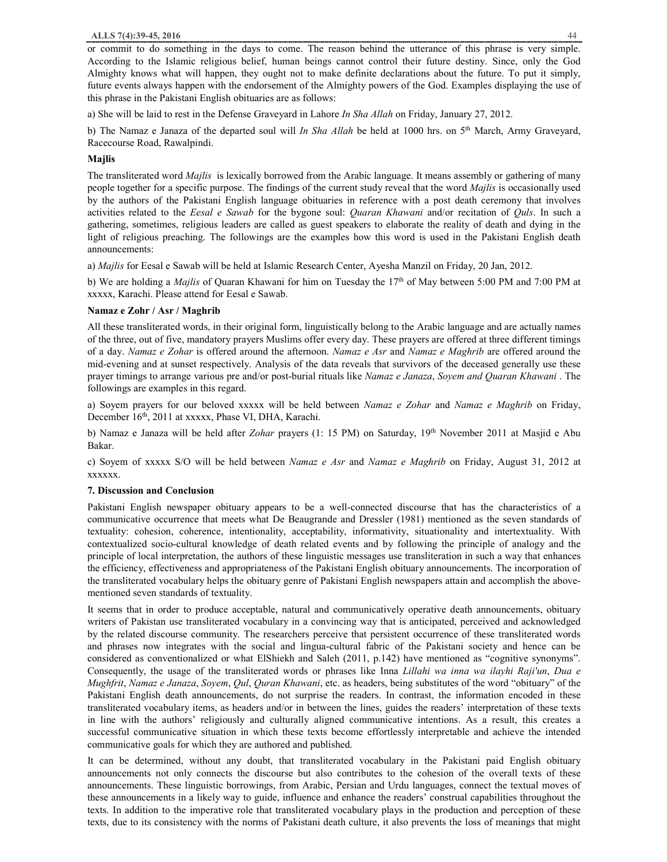or commit to do something in the days to come. The reason behind the utterance of this phrase is very simple. According to the Islamic religious belief, human beings cannot control their future destiny. Since, only the God Almighty knows what will happen, they ought not to make definite declarations about the future. To put it simply, future events always happen with the endorsement of the Almighty powers of the God. Examples displaying the use of this phrase in the Pakistani English obituaries are as follows:

a) She will be laid to rest in the Defense Graveyard in Lahore *In Sha Allah* on Friday, January 27, 2012.

b) The Namaz e Janaza of the departed soul will *In Sha Allah* be held at 1000 hrs. on 5th March, Army Graveyard, Racecourse Road, Rawalpindi.

## **Majlis**

The transliterated word *Majlis* is lexically borrowed from the Arabic language. It means assembly or gathering of many people together for a specific purpose. The findings of the current study reveal that the word *Majlis* is occasionally used by the authors of the Pakistani English language obituaries in reference with a post death ceremony that involves activities related to the *Eesal e Sawab* for the bygone soul: *Quaran Khawani* and/or recitation of *Quls*. In such a gathering, sometimes, religious leaders are called as guest speakers to elaborate the reality of death and dying in the light of religious preaching. The followings are the examples how this word is used in the Pakistani English death announcements:

a) *Majlis* for Eesal e Sawab will be held at Islamic Research Center, Ayesha Manzil on Friday, 20 Jan, 2012.

b) We are holding a *Majlis* of Quaran Khawani for him on Tuesday the 17<sup>th</sup> of May between 5:00 PM and 7:00 PM at xxxxx, Karachi. Please attend for Eesal e Sawab.

## **Namaz e Zohr / Asr / Maghrib**

All these transliterated words, in their original form, linguistically belong to the Arabic language and are actually names of the three, out of five, mandatory prayers Muslims offer every day. These prayers are offered at three different timings of a day. *Namaz e Zohar* is offered around the afternoon. *Namaz e Asr* and *Namaz e Maghrib* are offered around the mid-evening and at sunset respectively. Analysis of the data reveals that survivors of the deceased generally use these prayer timings to arrange various pre and/or post-burial rituals like *Namaz e Janaza*, *Soyem and Quaran Khawani* . The followings are examples in this regard.

a) Soyem prayers for our beloved xxxxx will be held between *Namaz e Zohar* and *Namaz e Maghrib* on Friday, December 16<sup>th</sup>, 2011 at xxxxx, Phase VI, DHA, Karachi.

b) Namaz e Janaza will be held after *Zohar* prayers (1: 15 PM) on Saturday, 19th November 2011 at Masjid e Abu Bakar.

c) Soyem of xxxxx S/O will be held between *Namaz e Asr* and *Namaz e Maghrib* on Friday, August 31, 2012 at xxxxxx.

## **7. Discussion and Conclusion**

Pakistani English newspaper obituary appears to be a well-connected discourse that has the characteristics of a communicative occurrence that meets what De Beaugrande and Dressler (1981) mentioned as the seven standards of textuality: cohesion, coherence, intentionality, acceptability, informativity, situationality and intertextuality. With contextualized socio-cultural knowledge of death related events and by following the principle of analogy and the principle of local interpretation, the authors of these linguistic messages use transliteration in such a way that enhances the efficiency, effectiveness and appropriateness of the Pakistani English obituary announcements. The incorporation of the transliterated vocabulary helps the obituary genre of Pakistani English newspapers attain and accomplish the abovementioned seven standards of textuality.

It seems that in order to produce acceptable, natural and communicatively operative death announcements, obituary writers of Pakistan use transliterated vocabulary in a convincing way that is anticipated, perceived and acknowledged by the related discourse community. The researchers perceive that persistent occurrence of these transliterated words and phrases now integrates with the social and lingua-cultural fabric of the Pakistani society and hence can be considered as conventionalized or what ElShiekh and Saleh (2011, p.142) have mentioned as "cognitive synonyms". Consequently, the usage of the transliterated words or phrases like Inna *Lillahi wa inna wa ilayhi Raji'un*, *Dua e Mughfrit*, *Namaz e Janaza*, *Soyem*, *Qul*, *Quran Khawani*, etc. as headers, being substitutes of the word "obituary" of the Pakistani English death announcements, do not surprise the readers. In contrast, the information encoded in these transliterated vocabulary items, as headers and/or in between the lines, guides the readers' interpretation of these texts in line with the authors' religiously and culturally aligned communicative intentions. As a result, this creates a successful communicative situation in which these texts become effortlessly interpretable and achieve the intended communicative goals for which they are authored and published.

It can be determined, without any doubt, that transliterated vocabulary in the Pakistani paid English obituary announcements not only connects the discourse but also contributes to the cohesion of the overall texts of these announcements. These linguistic borrowings, from Arabic, Persian and Urdu languages, connect the textual moves of these announcements in a likely way to guide, influence and enhance the readers' construal capabilities throughout the texts. In addition to the imperative role that transliterated vocabulary plays in the production and perception of these texts, due to its consistency with the norms of Pakistani death culture, it also prevents the loss of meanings that might